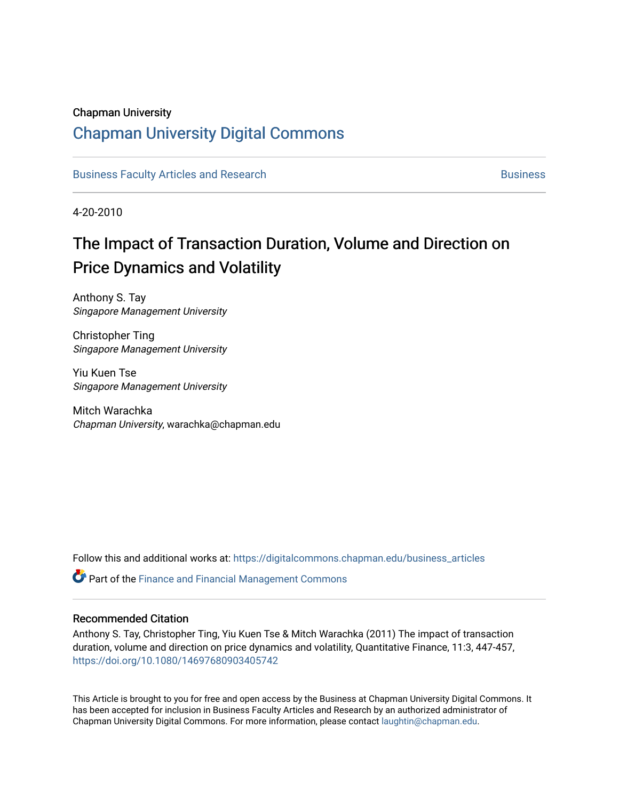### Chapman University

## [Chapman University Digital Commons](https://digitalcommons.chapman.edu/)

[Business Faculty Articles and Research](https://digitalcommons.chapman.edu/business_articles) [Business](https://digitalcommons.chapman.edu/business) **Business** Business

4-20-2010

## The Impact of Transaction Duration, Volume and Direction on Price Dynamics and Volatility

Anthony S. Tay Singapore Management University

Christopher Ting Singapore Management University

Yiu Kuen Tse Singapore Management University

Mitch Warachka Chapman University, warachka@chapman.edu

Follow this and additional works at: [https://digitalcommons.chapman.edu/business\\_articles](https://digitalcommons.chapman.edu/business_articles?utm_source=digitalcommons.chapman.edu%2Fbusiness_articles%2F118&utm_medium=PDF&utm_campaign=PDFCoverPages) 

**P** Part of the Finance and Financial Management Commons

#### Recommended Citation

Anthony S. Tay, Christopher Ting, Yiu Kuen Tse & Mitch Warachka (2011) The impact of transaction duration, volume and direction on price dynamics and volatility, Quantitative Finance, 11:3, 447-457, <https://doi.org/10.1080/14697680903405742>

This Article is brought to you for free and open access by the Business at Chapman University Digital Commons. It has been accepted for inclusion in Business Faculty Articles and Research by an authorized administrator of Chapman University Digital Commons. For more information, please contact [laughtin@chapman.edu](mailto:laughtin@chapman.edu).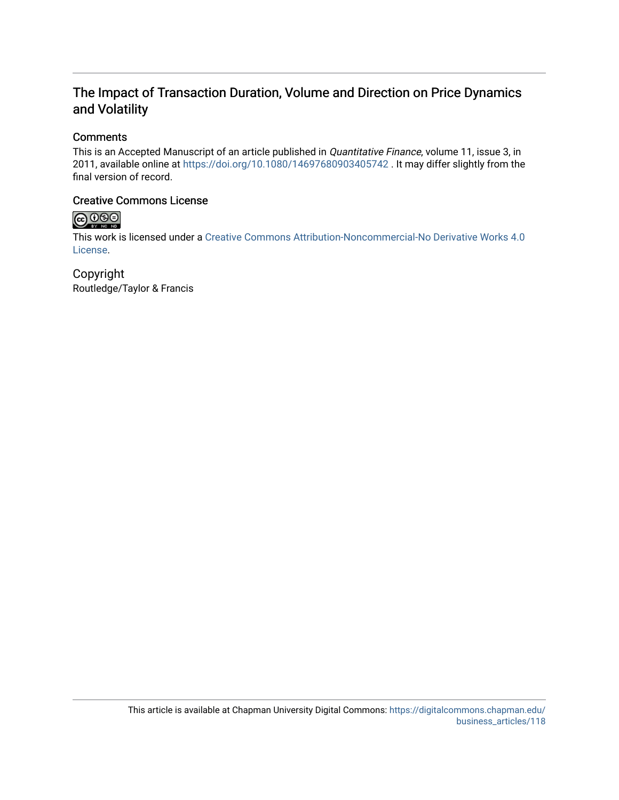## The Impact of Transaction Duration, Volume and Direction on Price Dynamics and Volatility

## **Comments**

This is an Accepted Manuscript of an article published in Quantitative Finance, volume 11, issue 3, in 2011, available online at<https://doi.org/10.1080/14697680903405742> . It may differ slightly from the final version of record.

## Creative Commons License



This work is licensed under a [Creative Commons Attribution-Noncommercial-No Derivative Works 4.0](https://creativecommons.org/licenses/by-nc-nd/4.0/) [License](https://creativecommons.org/licenses/by-nc-nd/4.0/).

Copyright Routledge/Taylor & Francis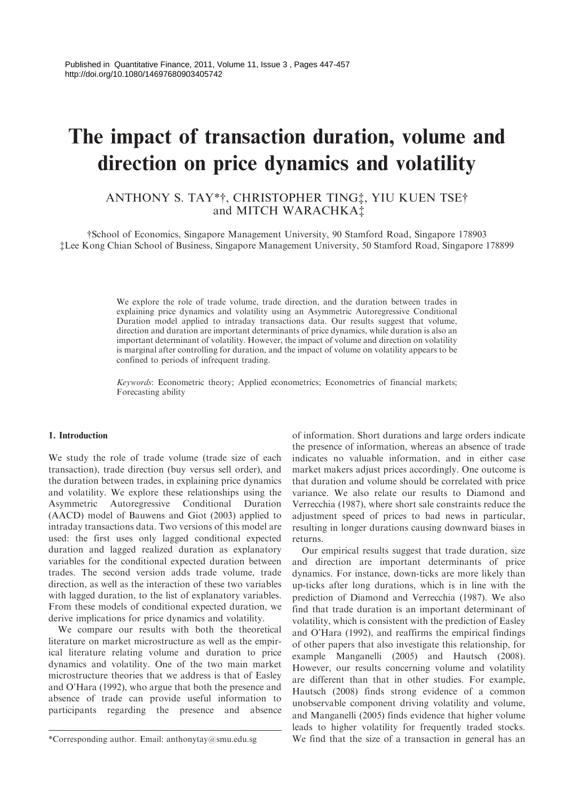# The impact of transaction duration, volume and direction on price dynamics and volatility

ANTHONY S. TAY\*†, CHRISTOPHER TING<sup>†</sup>, YIU KUEN TSE† and MITCH WARACHKA‡

<sup>†</sup>School of Economics, Singapore Management University, 90 Stamford Road, Singapore 178903 zLee Kong Chian School of Business, Singapore Management University, 50 Stamford Road, Singapore 178899

> We explore the role of trade volume, trade direction, and the duration between trades in explaining price dynamics and volatility using an Asymmetric Autoregressive Conditional Duration model applied to intraday transactions data. Our results suggest that volume, direction and duration are important determinants of price dynamics, while duration is also an important determinant of volatility. However, the impact of volume and direction on volatility is marginal after controlling for duration, and the impact of volume on volatility appears to be confined to periods of infrequent trading.

> Keywords: Econometric theory; Applied econometrics; Econometrics of financial markets; Forecasting ability

#### 1. Introduction

We study the role of trade volume (trade size of each transaction), trade direction (buy versus sell order), and the duration between trades, in explaining price dynamics and volatility. We explore these relationships using the Asymmetric Autoregressive Conditional Duration (AACD) model of Bauwens and Giot (2003) applied to intraday transactions data. Two versions of this model are used: the first uses only lagged conditional expected duration and lagged realized duration as explanatory variables for the conditional expected duration between trades. The second version adds trade volume, trade direction, as well as the interaction of these two variables with lagged duration, to the list of explanatory variables. From these models of conditional expected duration, we derive implications for price dynamics and volatility.

We compare our results with both the theoretical literature on market microstructure as well as the empirical literature relating volume and duration to price dynamics and volatility. One of the two main market microstructure theories that we address is that of Easley and O'Hara (1992), who argue that both the presence and absence of trade can provide useful information to participants regarding the presence and absence

of information. Short durations and large orders indicate the presence of information, whereas an absence of trade indicates no valuable information, and in either case market makers adjust prices accordingly. One outcome is that duration and volume should be correlated with price variance. We also relate our results to Diamond and Verrecchia (1987), where short sale constraints reduce the adjustment speed of prices to bad news in particular, resulting in longer durations causing downward biases in returns.

Our empirical results suggest that trade duration, size and direction are important determinants of price dynamics. For instance, down-ticks are more likely than up-ticks after long durations, which is in line with the prediction of Diamond and Verrecchia (1987). We also find that trade duration is an important determinant of volatility, which is consistent with the prediction of Easley and O'Hara (1992), and reaffirms the empirical findings of other papers that also investigate this relationship, for example Manganelli (2005) and Hautsch (2008). However, our results concerning volume and volatility are different than that in other studies. For example, Hautsch (2008) finds strong evidence of a common unobservable component driving volatility and volume, and Manganelli (2005) finds evidence that higher volume leads to higher volatility for frequently traded stocks. \*Corresponding author. Email: anthonytay@smu.edu.sg We find that the size of a transaction in general has an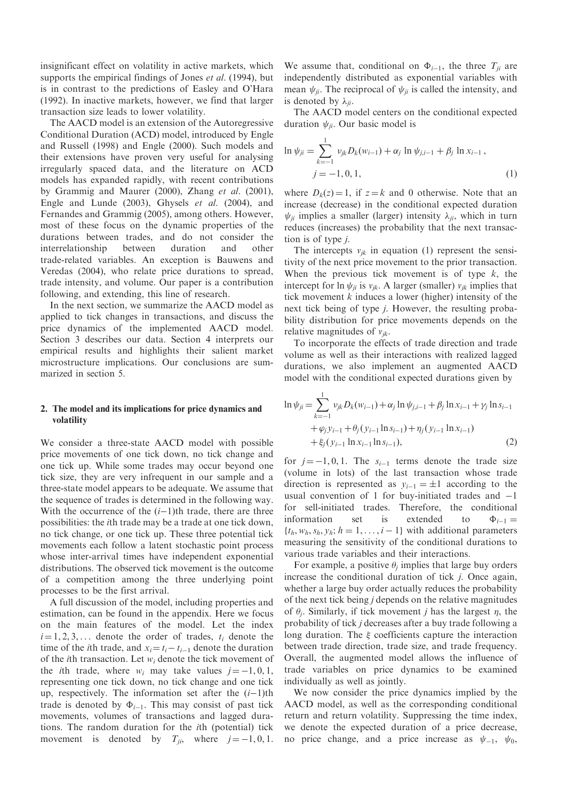insignificant effect on volatility in active markets, which supports the empirical findings of Jones *et al.* (1994), but is in contrast to the predictions of Easley and O'Hara (1992). In inactive markets, however, we find that larger transaction size leads to lower volatility.

The AACD model is an extension of the Autoregressive Conditional Duration (ACD) model, introduced by Engle and Russell (1998) and Engle (2000). Such models and their extensions have proven very useful for analysing irregularly spaced data, and the literature on ACD models has expanded rapidly, with recent contributions by Grammig and Maurer (2000), Zhang et al. (2001), Engle and Lunde (2003), Ghysels et al. (2004), and Fernandes and Grammig (2005), among others. However, most of these focus on the dynamic properties of the durations between trades, and do not consider the interrelationship between duration and other trade-related variables. An exception is Bauwens and Veredas (2004), who relate price durations to spread, trade intensity, and volume. Our paper is a contribution following, and extending, this line of research.

In the next section, we summarize the AACD model as applied to tick changes in transactions, and discuss the price dynamics of the implemented AACD model. Section 3 describes our data. Section 4 interprets our empirical results and highlights their salient market microstructure implications. Our conclusions are summarized in section 5.

#### 2. The model and its implications for price dynamics and volatility

We consider a three-state AACD model with possible price movements of one tick down, no tick change and one tick up. While some trades may occur beyond one tick size, they are very infrequent in our sample and a three-state model appears to be adequate. We assume that the sequence of trades is determined in the following way. With the occurrence of the  $(i-1)$ th trade, there are three possibilities: the ith trade may be a trade at one tick down, no tick change, or one tick up. These three potential tick movements each follow a latent stochastic point process whose inter-arrival times have independent exponential distributions. The observed tick movement is the outcome of a competition among the three underlying point processes to be the first arrival.

A full discussion of the model, including properties and estimation, can be found in the appendix. Here we focus on the main features of the model. Let the index  $i = 1, 2, 3, \ldots$  denote the order of trades,  $t_i$  denote the time of the *i*th trade, and  $x_i = t_i - t_{i-1}$  denote the duration of the *i*th transaction. Let  $w_i$  denote the tick movement of the *i*th trade, where  $w_i$  may take values  $j = -1, 0, 1$ , representing one tick down, no tick change and one tick up, respectively. The information set after the  $(i-1)$ th trade is denoted by  $\Phi_{i-1}$ . This may consist of past tick movements, volumes of transactions and lagged durations. The random duration for the ith (potential) tick movement is denoted by  $T_{ji}$ , where  $j = -1, 0, 1$ .

We assume that, conditional on  $\Phi_{i-1}$ , the three  $T_{ji}$  are independently distributed as exponential variables with mean  $\psi_{ii}$ . The reciprocal of  $\psi_{ii}$  is called the intensity, and is denoted by  $\lambda_{ji}$ .

The AACD model centers on the conditional expected duration  $\psi_{ii}$ . Our basic model is

$$
\ln \psi_{ji} = \sum_{k=-1}^{1} \nu_{jk} D_k(w_{i-1}) + \alpha_j \ln \psi_{j,i-1} + \beta_j \ln x_{i-1},
$$
  

$$
j = -1, 0, 1,
$$
 (1)

where  $D_k(z) = 1$ , if  $z = k$  and 0 otherwise. Note that an increase (decrease) in the conditional expected duration  $\psi_{ji}$  implies a smaller (larger) intensity  $\lambda_{ji}$ , which in turn reduces (increases) the probability that the next transaction is of type j.

The intercepts  $v_{ik}$  in equation (1) represent the sensitivity of the next price movement to the prior transaction. When the previous tick movement is of type  $k$ , the intercept for  $\ln \psi_{ji}$  is  $v_{jk}$ . A larger (smaller)  $v_{jk}$  implies that tick movement  $k$  induces a lower (higher) intensity of the next tick being of type j. However, the resulting probability distribution for price movements depends on the relative magnitudes of  $v_{ik}$ .

To incorporate the effects of trade direction and trade volume as well as their interactions with realized lagged durations, we also implement an augmented AACD model with the conditional expected durations given by

$$
\ln \psi_{ji} = \sum_{k=-1}^{1} \nu_{jk} D_k(w_{i-1}) + \alpha_j \ln \psi_{j,i-1} + \beta_j \ln x_{i-1} + \gamma_j \ln s_{i-1} + \varphi_j y_{i-1} + \theta_j (y_{i-1} \ln s_{i-1}) + \eta_j (y_{i-1} \ln x_{i-1}) + \xi_j (y_{i-1} \ln x_{i-1} \ln s_{i-1}),
$$
\n(2)

for  $j = -1, 0, 1$ . The  $s_{i-1}$  terms denote the trade size (volume in lots) of the last transaction whose trade direction is represented as  $y_{i-1} = \pm 1$  according to the usual convention of 1 for buy-initiated trades and  $-1$ for sell-initiated trades. Therefore, the conditional information set is extended to  $_{i-1} =$  $\{t_h, w_h, s_h, y_h; h = 1, \ldots, i - 1\}$  with additional parameters measuring the sensitivity of the conditional durations to various trade variables and their interactions.

For example, a positive  $\theta_i$  implies that large buy orders increase the conditional duration of tick j. Once again, whether a large buy order actually reduces the probability of the next tick being j depends on the relative magnitudes of  $\theta_i$ . Similarly, if tick movement *j* has the largest  $\eta$ , the probability of tick j decreases after a buy trade following a long duration. The  $\xi$  coefficients capture the interaction between trade direction, trade size, and trade frequency. Overall, the augmented model allows the influence of trade variables on price dynamics to be examined individually as well as jointly.

We now consider the price dynamics implied by the AACD model, as well as the corresponding conditional return and return volatility. Suppressing the time index, we denote the expected duration of a price decrease, no price change, and a price increase as  $\psi_{-1}$ ,  $\psi_0$ ,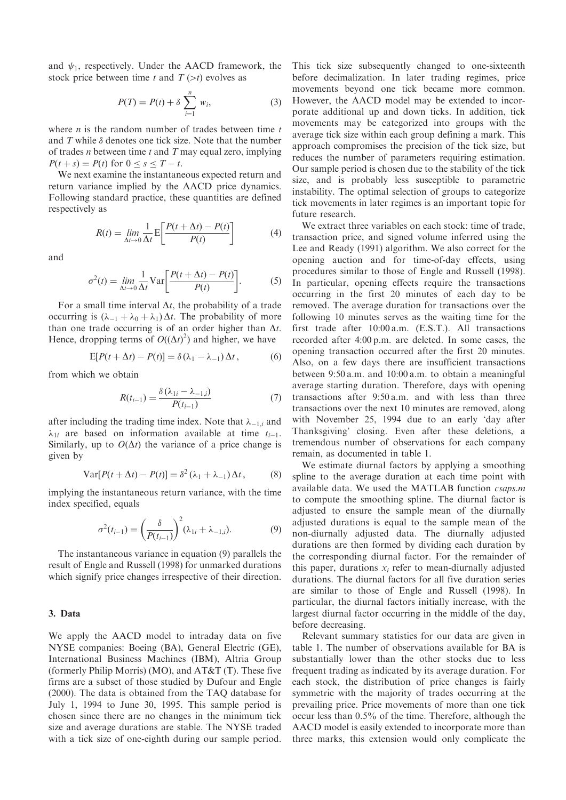and  $\psi_1$ , respectively. Under the AACD framework, the stock price between time t and  $T(\gt t)$  evolves as

$$
P(T) = P(t) + \delta \sum_{i=1}^{n} w_i,
$$
 (3)

where  $n$  is the random number of trades between time  $t$ and  $T$  while  $\delta$  denotes one tick size. Note that the number of trades *n* between time  $t$  and  $T$  may equal zero, implying  $P(t + s) = P(t)$  for  $0 \leq s \leq T - t$ .

We next examine the instantaneous expected return and return variance implied by the AACD price dynamics. Following standard practice, these quantities are defined respectively as

$$
R(t) = \lim_{\Delta t \to 0} \frac{1}{\Delta t} \mathbb{E} \left[ \frac{P(t + \Delta t) - P(t)}{P(t)} \right]
$$
(4)

and

$$
\sigma^{2}(t) = \lim_{\Delta t \to 0} \frac{1}{\Delta t} \text{Var}\bigg[\frac{P(t + \Delta t) - P(t)}{P(t)}\bigg].\tag{5}
$$

For a small time interval  $\Delta t$ , the probability of a trade occurring is  $(\lambda_{-1} + \lambda_0 + \lambda_1) \Delta t$ . The probability of more than one trade occurring is of an order higher than  $\Delta t$ . Hence, dropping terms of  $O((\Delta t)^2)$  and higher, we have

$$
E[P(t + \Delta t) - P(t)] = \delta(\lambda_1 - \lambda_{-1})\Delta t, \qquad (6)
$$

from which we obtain

$$
R(t_{i-1}) = \frac{\delta(\lambda_{1i} - \lambda_{-1,i})}{P(t_{i-1})}
$$
\n(7)

after including the trading time index. Note that  $\lambda_{-1,i}$  and  $\lambda_{1i}$  are based on information available at time  $t_{i-1}$ . Similarly, up to  $O(\Delta t)$  the variance of a price change is given by

$$
Var[P(t + \Delta t) - P(t)] = \delta^2 (\lambda_1 + \lambda_{-1}) \Delta t, \quad (8)
$$

implying the instantaneous return variance, with the time index specified, equals

$$
\sigma^{2}(t_{i-1}) = \left(\frac{\delta}{P(t_{i-1})}\right)^{2} (\lambda_{1i} + \lambda_{-1,i}).
$$
\n(9)

The instantaneous variance in equation (9) parallels the result of Engle and Russell (1998) for unmarked durations which signify price changes irrespective of their direction.

#### 3. Data

We apply the AACD model to intraday data on five NYSE companies: Boeing (BA), General Electric (GE), International Business Machines (IBM), Altria Group (formerly Philip Morris) (MO), and AT&T (T). These five firms are a subset of those studied by Dufour and Engle (2000). The data is obtained from the TAQ database for July 1, 1994 to June 30, 1995. This sample period is chosen since there are no changes in the minimum tick size and average durations are stable. The NYSE traded with a tick size of one-eighth during our sample period. This tick size subsequently changed to one-sixteenth before decimalization. In later trading regimes, price movements beyond one tick became more common. However, the AACD model may be extended to incorporate additional up and down ticks. In addition, tick movements may be categorized into groups with the average tick size within each group defining a mark. This approach compromises the precision of the tick size, but reduces the number of parameters requiring estimation. Our sample period is chosen due to the stability of the tick size, and is probably less susceptible to parametric instability. The optimal selection of groups to categorize tick movements in later regimes is an important topic for future research.

We extract three variables on each stock: time of trade, transaction price, and signed volume inferred using the Lee and Ready (1991) algorithm. We also correct for the opening auction and for time-of-day effects, using procedures similar to those of Engle and Russell (1998). In particular, opening effects require the transactions occurring in the first 20 minutes of each day to be removed. The average duration for transactions over the following 10 minutes serves as the waiting time for the first trade after 10:00 a.m. (E.S.T.). All transactions recorded after 4:00 p.m. are deleted. In some cases, the opening transaction occurred after the first 20 minutes. Also, on a few days there are insufficient transactions between 9:50 a.m. and 10:00 a.m. to obtain a meaningful average starting duration. Therefore, days with opening transactions after 9:50 a.m. and with less than three transactions over the next 10 minutes are removed, along with November 25, 1994 due to an early 'day after Thanksgiving' closing. Even after these deletions, a tremendous number of observations for each company remain, as documented in table 1.

We estimate diurnal factors by applying a smoothing spline to the average duration at each time point with available data. We used the MATLAB function csaps.m to compute the smoothing spline. The diurnal factor is adjusted to ensure the sample mean of the diurnally adjusted durations is equal to the sample mean of the non-diurnally adjusted data. The diurnally adjusted durations are then formed by dividing each duration by the corresponding diurnal factor. For the remainder of this paper, durations  $x_i$  refer to mean-diurnally adjusted durations. The diurnal factors for all five duration series are similar to those of Engle and Russell (1998). In particular, the diurnal factors initially increase, with the largest diurnal factor occurring in the middle of the day, before decreasing.

Relevant summary statistics for our data are given in table 1. The number of observations available for BA is substantially lower than the other stocks due to less frequent trading as indicated by its average duration. For each stock, the distribution of price changes is fairly symmetric with the majority of trades occurring at the prevailing price. Price movements of more than one tick occur less than 0.5% of the time. Therefore, although the AACD model is easily extended to incorporate more than three marks, this extension would only complicate the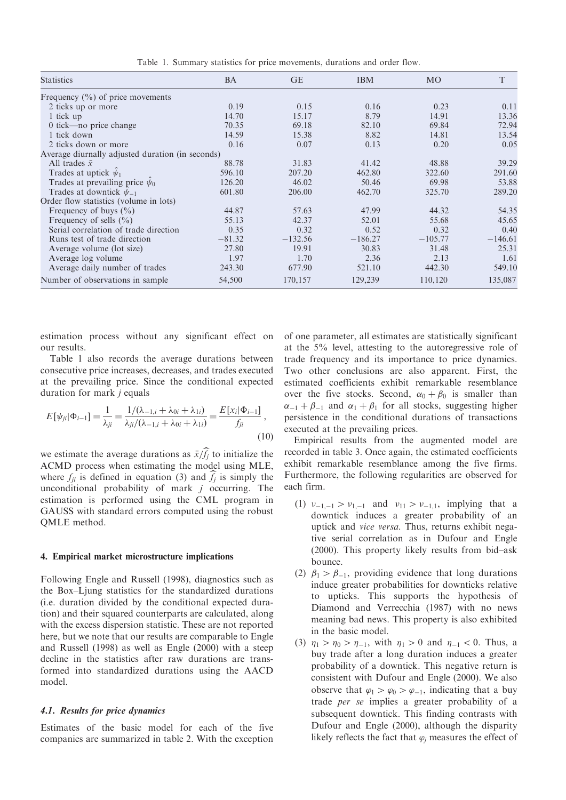| <b>Statistics</b>                                | <b>BA</b> | <b>GE</b> | <b>IBM</b> | M <sub>O</sub> | T         |
|--------------------------------------------------|-----------|-----------|------------|----------------|-----------|
| Frequency $(\% )$ of price movements             |           |           |            |                |           |
| 2 ticks up or more                               | 0.19      | 0.15      | 0.16       | 0.23           | 0.11      |
| 1 tick up                                        | 14.70     | 15.17     | 8.79       | 14.91          | 13.36     |
| 0 tick—no price change                           | 70.35     | 69.18     | 82.10      | 69.84          | 72.94     |
| 1 tick down                                      | 14.59     | 15.38     | 8.82       | 14.81          | 13.54     |
| 2 ticks down or more                             | 0.16      | 0.07      | 0.13       | 0.20           | 0.05      |
| Average diurnally adjusted duration (in seconds) |           |           |            |                |           |
| All trades $\bar{x}$                             | 88.78     | 31.83     | 41.42      | 48.88          | 39.29     |
| Trades at uptick $\psi_1$                        | 596.10    | 207.20    | 462.80     | 322.60         | 291.60    |
| Trades at prevailing price $\psi_0$              | 126.20    | 46.02     | 50.46      | 69.98          | 53.88     |
| Trades at downtick $\psi_{-1}$                   | 601.80    | 206.00    | 462.70     | 325.70         | 289.20    |
| Order flow statistics (volume in lots)           |           |           |            |                |           |
| Frequency of buys $(\% )$                        | 44.87     | 57.63     | 47.99      | 44.32          | 54.35     |
| Frequency of sells $(\% )$                       | 55.13     | 42.37     | 52.01      | 55.68          | 45.65     |
| Serial correlation of trade direction            | 0.35      | 0.32      | 0.52       | 0.32           | 0.40      |
| Runs test of trade direction                     | $-81.32$  | $-132.56$ | $-186.27$  | $-105.77$      | $-146.61$ |
| Average volume (lot size)                        | 27.80     | 19.91     | 30.83      | 31.48          | 25.31     |
| Average log volume                               | 1.97      | 1.70      | 2.36       | 2.13           | 1.61      |
| Average daily number of trades                   | 243.30    | 677.90    | 521.10     | 442.30         | 549.10    |
| Number of observations in sample                 | 54,500    | 170,157   | 129,239    | 110,120        | 135,087   |

Table 1. Summary statistics for price movements, durations and order flow.

estimation process without any significant effect on our results.

Table 1 also records the average durations between consecutive price increases, decreases, and trades executed at the prevailing price. Since the conditional expected duration for mark *j* equals

$$
E[\psi_{ji}|\Phi_{i-1}] = \frac{1}{\lambda_{ji}} = \frac{1/(\lambda_{-1,i} + \lambda_{0i} + \lambda_{1i})}{\lambda_{ji}/(\lambda_{-1,i} + \lambda_{0i} + \lambda_{1i})} = \frac{E[x_i|\Phi_{i-1}]}{f_{ji}},
$$
\n(10)

we estimate the average durations as  $\bar{x}/\widehat{f}_i$  to initialize the ACMD process when estimating the model using MLE, where  $f_{ii}$  is defined in equation (3) and  $\hat{f}_i$  is simply the unconditional probability of mark  $j$  occurring. The estimation is performed using the CML program in GAUSS with standard errors computed using the robust QMLE method.

#### 4. Empirical market microstructure implications

Following Engle and Russell (1998), diagnostics such as the Box–Ljung statistics for the standardized durations (i.e. duration divided by the conditional expected duration) and their squared counterparts are calculated, along with the excess dispersion statistic. These are not reported here, but we note that our results are comparable to Engle and Russell (1998) as well as Engle (2000) with a steep decline in the statistics after raw durations are transformed into standardized durations using the AACD model.

#### 4.1. Results for price dynamics

Estimates of the basic model for each of the five companies are summarized in table 2. With the exception of one parameter, all estimates are statistically significant at the 5% level, attesting to the autoregressive role of trade frequency and its importance to price dynamics. Two other conclusions are also apparent. First, the estimated coefficients exhibit remarkable resemblance over the five stocks. Second,  $\alpha_0 + \beta_0$  is smaller than  $\alpha_{-1} + \beta_{-1}$  and  $\alpha_1 + \beta_1$  for all stocks, suggesting higher persistence in the conditional durations of transactions executed at the prevailing prices.

Empirical results from the augmented model are recorded in table 3. Once again, the estimated coefficients exhibit remarkable resemblance among the five firms. Furthermore, the following regularities are observed for each firm.

- (1)  $\nu_{-1,-1} > \nu_{1,-1}$  and  $\nu_{11} > \nu_{-1,1}$ , implying that a downtick induces a greater probability of an uptick and vice versa. Thus, returns exhibit negative serial correlation as in Dufour and Engle (2000). This property likely results from bid–ask bounce.
- (2)  $\beta_1 > \beta_{-1}$ , providing evidence that long durations induce greater probabilities for downticks relative to upticks. This supports the hypothesis of Diamond and Verrecchia (1987) with no news meaning bad news. This property is also exhibited in the basic model.
- (3)  $\eta_1 > \eta_0 > \eta_{-1}$ , with  $\eta_1 > 0$  and  $\eta_{-1} < 0$ . Thus, a buy trade after a long duration induces a greater probability of a downtick. This negative return is consistent with Dufour and Engle (2000). We also observe that  $\varphi_1 > \varphi_0 > \varphi_{-1}$ , indicating that a buy trade per se implies a greater probability of a subsequent downtick. This finding contrasts with Dufour and Engle (2000), although the disparity likely reflects the fact that  $\varphi_i$  measures the effect of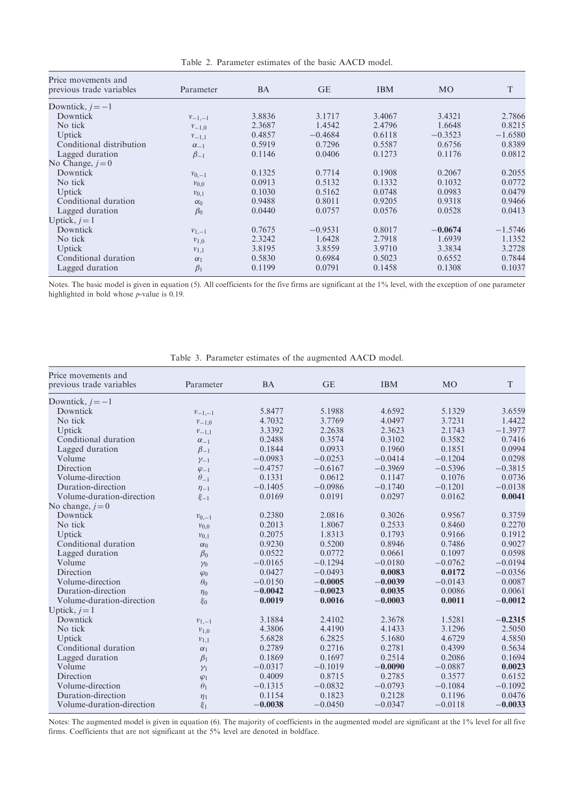| Price movements and      |               |           |           |            |                |           |
|--------------------------|---------------|-----------|-----------|------------|----------------|-----------|
| previous trade variables | Parameter     | <b>BA</b> | <b>GE</b> | <b>IBM</b> | M <sub>O</sub> | T         |
| Downtick, $i = -1$       |               |           |           |            |                |           |
| Downtick                 | $v_{-1,-1}$   | 3.8836    | 3.1717    | 3.4067     | 3.4321         | 2.7866    |
| No tick                  | $v_{-1,0}$    | 2.3687    | 1.4542    | 2.4796     | 1.6648         | 0.8215    |
| Uptick                   | $v_{-1,1}$    | 0.4857    | $-0.4684$ | 0.6118     | $-0.3523$      | $-1.6580$ |
| Conditional distribution | $\alpha_{-1}$ | 0.5919    | 0.7296    | 0.5587     | 0.6756         | 0.8389    |
| Lagged duration          | $\beta_{-1}$  | 0.1146    | 0.0406    | 0.1273     | 0.1176         | 0.0812    |
| No Change, $j=0$         |               |           |           |            |                |           |
| Downtick                 | $v_{0,-1}$    | 0.1325    | 0.7714    | 0.1908     | 0.2067         | 0.2055    |
| No tick                  | $v_{0.0}$     | 0.0913    | 0.5132    | 0.1332     | 0.1032         | 0.0772    |
| Uptick                   | $v_{0.1}$     | 0.1030    | 0.5162    | 0.0748     | 0.0983         | 0.0479    |
| Conditional duration     | $\alpha_0$    | 0.9488    | 0.8011    | 0.9205     | 0.9318         | 0.9466    |
| Lagged duration          | $\beta_0$     | 0.0440    | 0.0757    | 0.0576     | 0.0528         | 0.0413    |
| Uptick, $i=1$            |               |           |           |            |                |           |
| Downtick                 | $v_{1,-1}$    | 0.7675    | $-0.9531$ | 0.8017     | $-0.0674$      | $-1.5746$ |
| No tick                  | $v_{1,0}$     | 2.3242    | 1.6428    | 2.7918     | 1.6939         | 1.1352    |
| Uptick                   | $v_{1,1}$     | 3.8195    | 3.8559    | 3.9710     | 3.3834         | 3.2728    |
| Conditional duration     | $\alpha_1$    | 0.5830    | 0.6984    | 0.5023     | 0.6552         | 0.7844    |
| Lagged duration          | $\beta_1$     | 0.1199    | 0.0791    | 0.1458     | 0.1308         | 0.1037    |

Table 2. Parameter estimates of the basic AACD model.

Notes. The basic model is given in equation (5). All coefficients for the five firms are significant at the 1% level, with the exception of one parameter highlighted in bold whose p-value is 0.19.

|                                                 |                |           | J         |            |           |           |
|-------------------------------------------------|----------------|-----------|-----------|------------|-----------|-----------|
| Price movements and<br>previous trade variables | Parameter      | <b>BA</b> | <b>GE</b> | <b>IBM</b> | <b>MO</b> | T         |
| Downtick, $j = -1$                              |                |           |           |            |           |           |
| Downtick                                        | $v_{-1,-1}$    | 5.8477    | 5.1988    | 4.6592     | 5.1329    | 3.6559    |
| No tick                                         | $v_{-1,0}$     | 4.7032    | 3.7769    | 4.0497     | 3.7231    | 1.4422    |
| Uptick                                          | $v_{-1,1}$     | 3.3392    | 2.2638    | 2.3623     | 2.1743    | $-1.3977$ |
| Conditional duration                            | $\alpha_{-1}$  | 0.2488    | 0.3574    | 0.3102     | 0.3582    | 0.7416    |
| Lagged duration                                 | $\beta_{-1}$   | 0.1844    | 0.0933    | 0.1960     | 0.1851    | 0.0994    |
| Volume                                          | $\gamma_{-1}$  | $-0.0983$ | $-0.0253$ | $-0.0414$  | $-0.1204$ | 0.0298    |
| Direction                                       | $\varphi_{-1}$ | $-0.4757$ | $-0.6167$ | $-0.3969$  | $-0.5396$ | $-0.3815$ |
| Volume-direction                                | $\theta$ -1    | 0.1331    | 0.0612    | 0.1147     | 0.1076    | 0.0736    |
| Duration-direction                              | $\eta_{-1}$    | $-0.1405$ | $-0.0986$ | $-0.1740$  | $-0.1201$ | $-0.0138$ |
| Volume-duration-direction                       | $\xi_{-1}$     | 0.0169    | 0.0191    | 0.0297     | 0.0162    | 0.0041    |
| No change, $i=0$                                |                |           |           |            |           |           |
| Downtick                                        | $v_{0,-1}$     | 0.2380    | 2.0816    | 0.3026     | 0.9567    | 0.3759    |
| No tick                                         | $v_{0,0}$      | 0.2013    | 1.8067    | 0.2533     | 0.8460    | 0.2270    |
| Uptick                                          | $v_{0.1}$      | 0.2075    | 1.8313    | 0.1793     | 0.9166    | 0.1912    |
| Conditional duration                            | $\alpha_0$     | 0.9230    | 0.5200    | 0.8946     | 0.7486    | 0.9027    |
| Lagged duration                                 | $\beta_0$      | 0.0522    | 0.0772    | 0.0661     | 0.1097    | 0.0598    |
| Volume                                          | $\gamma_0$     | $-0.0165$ | $-0.1294$ | $-0.0180$  | $-0.0762$ | $-0.0194$ |
| Direction                                       | $\varphi_0$    | 0.0427    | $-0.0493$ | 0.0083     | 0.0172    | $-0.0356$ |
| Volume-direction                                | $\theta_0$     | $-0.0150$ | $-0.0005$ | $-0.0039$  | $-0.0143$ | 0.0087    |
| Duration-direction                              | $\eta_0$       | $-0.0042$ | $-0.0023$ | 0.0035     | 0.0086    | 0.0061    |
| Volume-duration-direction                       | $\xi_0$        | 0.0019    | 0.0016    | $-0.0003$  | 0.0011    | $-0.0012$ |
| Uptick, $j = 1$                                 |                |           |           |            |           |           |
| Downtick                                        | $v_{1,-1}$     | 3.1884    | 2.4102    | 2.3678     | 1.5281    | $-0.2315$ |
| No tick                                         | $v_{1,0}$      | 4.3806    | 4.4190    | 4.1433     | 3.1296    | 2.5050    |
| Uptick                                          | $v_{1,1}$      | 5.6828    | 6.2825    | 5.1680     | 4.6729    | 4.5850    |
| Conditional duration                            | $\alpha_1$     | 0.2789    | 0.2716    | 0.2781     | 0.4399    | 0.5634    |
| Lagged duration                                 | $\beta_1$      | 0.1869    | 0.1697    | 0.2514     | 0.2086    | 0.1694    |
| Volume                                          | $\gamma_1$     | $-0.0317$ | $-0.1019$ | $-0.0090$  | $-0.0887$ | 0.0023    |
| Direction                                       | $\varphi_1$    | 0.4009    | 0.8715    | 0.2785     | 0.3577    | 0.6152    |
| Volume-direction                                | $\theta_1$     | $-0.1315$ | $-0.0832$ | $-0.0793$  | $-0.1084$ | $-0.1092$ |
| Duration-direction                              | $\eta_1$       | 0.1154    | 0.1823    | 0.2128     | 0.1196    | 0.0476    |
| Volume-duration-direction                       | $\xi_1$        | $-0.0038$ | $-0.0450$ | $-0.0347$  | $-0.0118$ | $-0.0033$ |

Table 3. Parameter estimates of the augmented AACD model.

Notes: The augmented model is given in equation (6). The majority of coefficients in the augmented model are significant at the 1% level for all five firms. Coefficients that are not significant at the 5% level are denoted in boldface.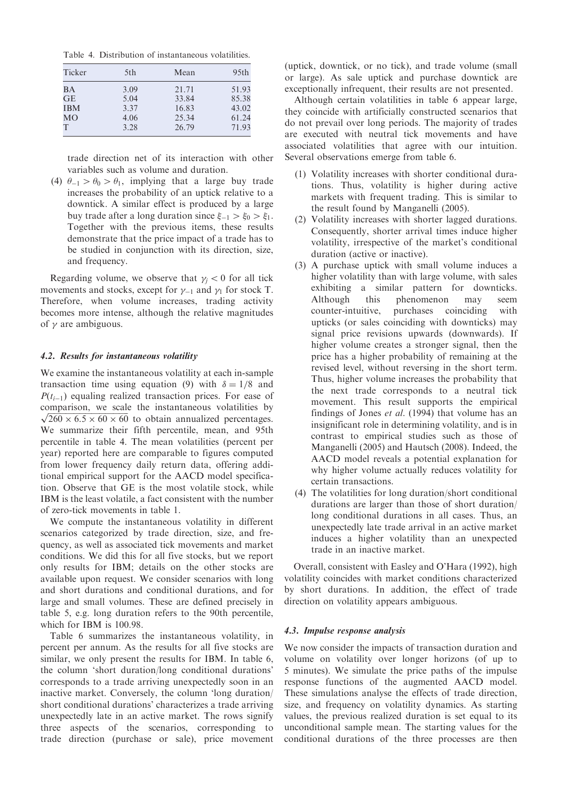Table 4. Distribution of instantaneous volatilities.

| Ticker     | 5th  | Mean  | 95th  |
|------------|------|-------|-------|
| <b>BA</b>  | 3.09 | 21.71 | 51.93 |
| <b>GE</b>  | 5.04 | 33.84 | 85.38 |
| <b>IBM</b> | 3.37 | 16.83 | 43.02 |
| МO         | 4.06 | 25.34 | 61.24 |
| Τ          | 3.28 | 26.79 | 71.93 |

trade direction net of its interaction with other variables such as volume and duration.

(4)  $\theta_{-1} > \theta_0 > \theta_1$ , implying that a large buy trade increases the probability of an uptick relative to a downtick. A similar effect is produced by a large buy trade after a long duration since  $\xi_{-1} > \xi_0 > \xi_1$ . Together with the previous items, these results demonstrate that the price impact of a trade has to be studied in conjunction with its direction, size, and frequency.

Regarding volume, we observe that  $\gamma_i < 0$  for all tick movements and stocks, except for  $\gamma_{-1}$  and  $\gamma_1$  for stock T. Therefore, when volume increases, trading activity becomes more intense, although the relative magnitudes of  $\gamma$  are ambiguous.

#### 4.2. Results for instantaneous volatility

We examine the instantaneous volatility at each in-sample transaction time using equation (9) with  $\delta = 1/8$  and  $P(t_{i-1})$  equaling realized transaction prices. For ease of comparison, we scale the instantaneous volatilities by  $\sqrt{260 \times 6.5 \times 60 \times 60}$  to obtain annualized percentages. We summarize their fifth percentile, mean, and 95th percentile in table 4. The mean volatilities (percent per year) reported here are comparable to figures computed from lower frequency daily return data, offering additional empirical support for the AACD model specification. Observe that GE is the most volatile stock, while IBM is the least volatile, a fact consistent with the number of zero-tick movements in table 1.

We compute the instantaneous volatility in different scenarios categorized by trade direction, size, and frequency, as well as associated tick movements and market conditions. We did this for all five stocks, but we report only results for IBM; details on the other stocks are available upon request. We consider scenarios with long and short durations and conditional durations, and for large and small volumes. These are defined precisely in table 5, e.g. long duration refers to the 90th percentile, which for IBM is 100.98.

Table 6 summarizes the instantaneous volatility, in percent per annum. As the results for all five stocks are similar, we only present the results for IBM. In table 6, the column 'short duration/long conditional durations' corresponds to a trade arriving unexpectedly soon in an inactive market. Conversely, the column 'long duration/ short conditional durations' characterizes a trade arriving unexpectedly late in an active market. The rows signify three aspects of the scenarios, corresponding to trade direction (purchase or sale), price movement (uptick, downtick, or no tick), and trade volume (small or large). As sale uptick and purchase downtick are exceptionally infrequent, their results are not presented.

Although certain volatilities in table 6 appear large, they coincide with artificially constructed scenarios that do not prevail over long periods. The majority of trades are executed with neutral tick movements and have associated volatilities that agree with our intuition. Several observations emerge from table 6.

- (1) Volatility increases with shorter conditional durations. Thus, volatility is higher during active markets with frequent trading. This is similar to the result found by Manganelli (2005).
- (2) Volatility increases with shorter lagged durations. Consequently, shorter arrival times induce higher volatility, irrespective of the market's conditional duration (active or inactive).
- (3) A purchase uptick with small volume induces a higher volatility than with large volume, with sales exhibiting a similar pattern for downticks. Although this phenomenon may seem counter-intuitive, purchases coinciding with upticks (or sales coinciding with downticks) may signal price revisions upwards (downwards). If higher volume creates a stronger signal, then the price has a higher probability of remaining at the revised level, without reversing in the short term. Thus, higher volume increases the probability that the next trade corresponds to a neutral tick movement. This result supports the empirical findings of Jones et al. (1994) that volume has an insignificant role in determining volatility, and is in contrast to empirical studies such as those of Manganelli (2005) and Hautsch (2008). Indeed, the AACD model reveals a potential explanation for why higher volume actually reduces volatility for certain transactions.
- (4) The volatilities for long duration/short conditional durations are larger than those of short duration/ long conditional durations in all cases. Thus, an unexpectedly late trade arrival in an active market induces a higher volatility than an unexpected trade in an inactive market.

Overall, consistent with Easley and O'Hara (1992), high volatility coincides with market conditions characterized by short durations. In addition, the effect of trade direction on volatility appears ambiguous.

#### 4.3. Impulse response analysis

We now consider the impacts of transaction duration and volume on volatility over longer horizons (of up to 5 minutes). We simulate the price paths of the impulse response functions of the augmented AACD model. These simulations analyse the effects of trade direction, size, and frequency on volatility dynamics. As starting values, the previous realized duration is set equal to its unconditional sample mean. The starting values for the conditional durations of the three processes are then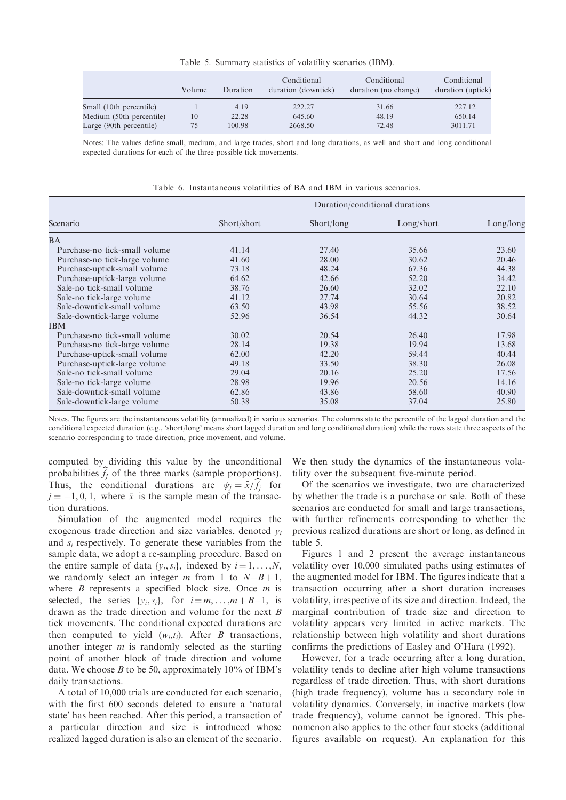Table 5. Summary statistics of volatility scenarios (IBM).

|                          | Volume | Duration | Conditional<br>duration (downtick) | Conditional<br>duration (no change) | Conditional<br>duration (uptick) |
|--------------------------|--------|----------|------------------------------------|-------------------------------------|----------------------------------|
| Small (10th percentile)  |        | 4.19     | 222.27                             | 31.66                               | 227.12                           |
| Medium (50th percentile) | 10     | 22.28    | 645.60                             | 48.19                               | 650.14                           |
| Large (90th percentile)  | 75     | 100.98   | 2668.50                            | 72.48                               | 3011.71                          |

Notes: The values define small, medium, and large trades, short and long durations, as well and short and long conditional expected durations for each of the three possible tick movements.

Table 6. Instantaneous volatilities of BA and IBM in various scenarios.

|                               | Duration/conditional durations |            |            |           |  |
|-------------------------------|--------------------------------|------------|------------|-----------|--|
| Scenario                      | Short/short                    | Short/long | Long/short | Long/long |  |
| <b>BA</b>                     |                                |            |            |           |  |
| Purchase-no tick-small volume | 41.14                          | 27.40      | 35.66      | 23.60     |  |
| Purchase-no tick-large volume | 41.60                          | 28.00      | 30.62      | 20.46     |  |
| Purchase-uptick-small volume  | 73.18                          | 48.24      | 67.36      | 44.38     |  |
| Purchase-uptick-large volume  | 64.62                          | 42.66      | 52.20      | 34.42     |  |
| Sale-no tick-small volume     | 38.76                          | 26.60      | 32.02      | 22.10     |  |
| Sale-no tick-large volume     | 41.12                          | 27.74      | 30.64      | 20.82     |  |
| Sale-downtick-small volume    | 63.50                          | 43.98      | 55.56      | 38.52     |  |
| Sale-downtick-large volume    | 52.96                          | 36.54      | 44.32      | 30.64     |  |
| <b>IBM</b>                    |                                |            |            |           |  |
| Purchase-no tick-small volume | 30.02                          | 20.54      | 26.40      | 17.98     |  |
| Purchase-no tick-large volume | 28.14                          | 19.38      | 19.94      | 13.68     |  |
| Purchase-uptick-small volume  | 62.00                          | 42.20      | 59.44      | 40.44     |  |
| Purchase-uptick-large volume  | 49.18                          | 33.50      | 38.30      | 26.08     |  |
| Sale-no tick-small volume     | 29.04                          | 20.16      | 25.20      | 17.56     |  |
| Sale-no tick-large volume     | 28.98                          | 19.96      | 20.56      | 14.16     |  |
| Sale-downtick-small volume    | 62.86                          | 43.86      | 58.60      | 40.90     |  |
| Sale-downtick-large volume    | 50.38                          | 35.08      | 37.04      | 25.80     |  |

Notes. The figures are the instantaneous volatility (annualized) in various scenarios. The columns state the percentile of the lagged duration and the conditional expected duration (e.g., 'short/long' means short lagged duration and long conditional duration) while the rows state three aspects of the scenario corresponding to trade direction, price movement, and volume.

computed by dividing this value by the unconditional probabilities  $\hat{f}_i$  of the three marks (sample proportions). Thus, the conditional durations are  $\psi_j = \bar{x}/f_j$  for  $j = -1, 0, 1$ , where  $\bar{x}$  is the sample mean of the transaction durations.

Simulation of the augmented model requires the exogenous trade direction and size variables, denoted  $y_i$ and  $s_i$  respectively. To generate these variables from the sample data, we adopt a re-sampling procedure. Based on the entire sample of data  $\{y_i, s_i\}$ , indexed by  $i = 1, \ldots, N$ , we randomly select an integer m from 1 to  $N-B+1$ , where  $B$  represents a specified block size. Once  $m$  is selected, the series  $\{y_i, s_i\}$ , for  $i = m, \ldots, m + B-1$ , is drawn as the trade direction and volume for the next  $B$ tick movements. The conditional expected durations are then computed to yield  $(w_i, t_i)$ . After B transactions, another integer  $m$  is randomly selected as the starting point of another block of trade direction and volume data. We choose  $B$  to be 50, approximately 10% of IBM's daily transactions.

A total of 10,000 trials are conducted for each scenario, with the first 600 seconds deleted to ensure a 'natural state' has been reached. After this period, a transaction of a particular direction and size is introduced whose realized lagged duration is also an element of the scenario.

We then study the dynamics of the instantaneous volatility over the subsequent five-minute period.

Of the scenarios we investigate, two are characterized by whether the trade is a purchase or sale. Both of these scenarios are conducted for small and large transactions, with further refinements corresponding to whether the previous realized durations are short or long, as defined in table 5.

Figures 1 and 2 present the average instantaneous volatility over 10,000 simulated paths using estimates of the augmented model for IBM. The figures indicate that a transaction occurring after a short duration increases volatility, irrespective of its size and direction. Indeed, the marginal contribution of trade size and direction to volatility appears very limited in active markets. The relationship between high volatility and short durations confirms the predictions of Easley and O'Hara (1992).

However, for a trade occurring after a long duration, volatility tends to decline after high volume transactions regardless of trade direction. Thus, with short durations (high trade frequency), volume has a secondary role in volatility dynamics. Conversely, in inactive markets (low trade frequency), volume cannot be ignored. This phenomenon also applies to the other four stocks (additional figures available on request). An explanation for this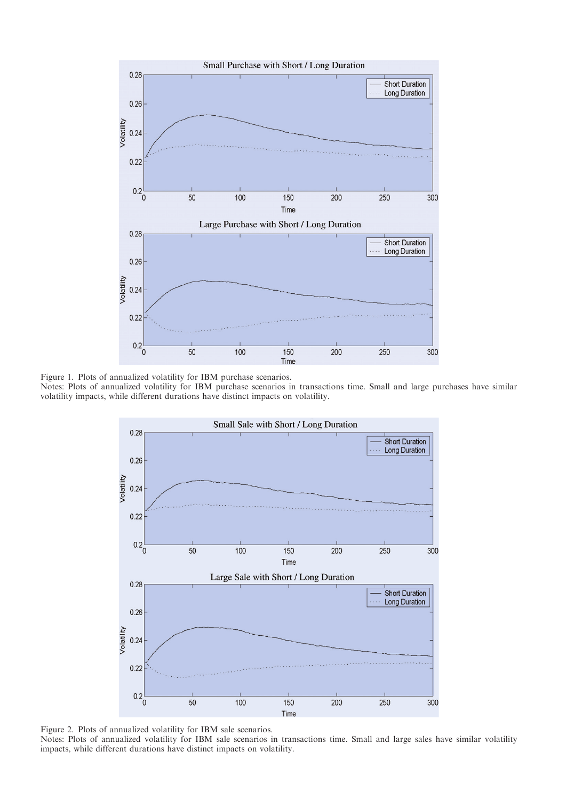

Figure 1. Plots of annualized volatility for IBM purchase scenarios.

Notes: Plots of annualized volatility for IBM purchase scenarios in transactions time. Small and large purchases have similar volatility impacts, while different durations have distinct impacts on volatility.



Figure 2. Plots of annualized volatility for IBM sale scenarios.

Notes: Plots of annualized volatility for IBM sale scenarios in transactions time. Small and large sales have similar volatility impacts, while different durations have distinct impacts on volatility.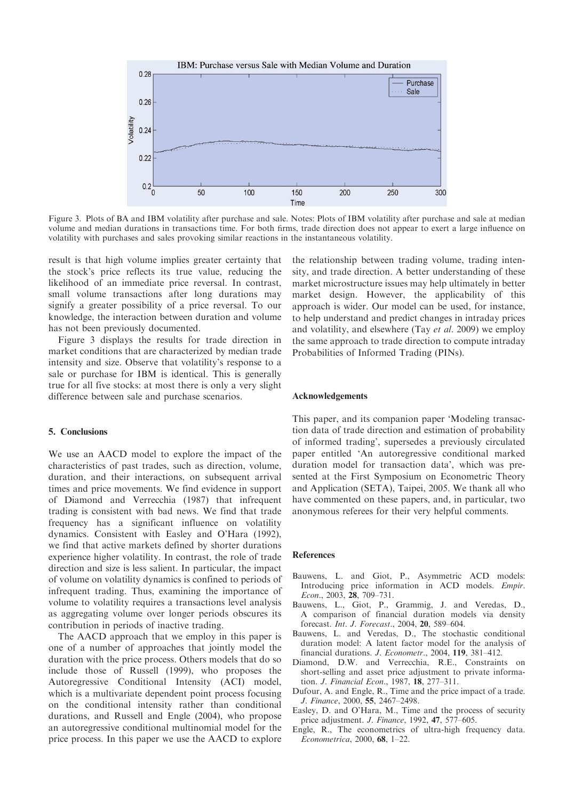

Figure 3. Plots of BA and IBM volatility after purchase and sale. Notes: Plots of IBM volatility after purchase and sale at median volume and median durations in transactions time. For both Erms, trade direction does not appear to exert a large inFuence on volatility with purchases and sales provoking similar reactions in the instantaneous volatility.

result is that high volume implies greater certainty that the stock's price reflects its true value, reducing the likelihood of an immediate price reversal. In contrast, small volume transactions after long durations may signify a greater possibility of a price reversal. To our knowledge, the interaction between duration and volume has not been previously documented.

Figure 3 displays the results for trade direction in market conditions that are characterized by median trade intensity and size. Observe that volatility's response to a sale or purchase for IBM is identical. This is generally true for all five stocks: at most there is only a very slight difference between sale and purchase scenarios.

#### 5. Conclusions

We use an AACD model to explore the impact of the characteristics of past trades, such as direction, volume, duration, and their interactions, on subsequent arrival times and price movements. We find evidence in support of Diamond and Verrecchia (1987) that infrequent trading is consistent with bad news. We find that trade frequency has a significant influence on volatility dynamics. Consistent with Easley and O'Hara (1992), we find that active markets defined by shorter durations experience higher volatility. In contrast, the role of trade direction and size is less salient. In particular, the impact of volume on volatility dynamics is confined to periods of infrequent trading. Thus, examining the importance of volume to volatility requires a transactions level analysis as aggregating volume over longer periods obscures its contribution in periods of inactive trading.

The AACD approach that we employ in this paper is one of a number of approaches that jointly model the duration with the price process. Others models that do so include those of Russell (1999), who proposes the Autoregressive Conditional Intensity (ACI) model, which is a multivariate dependent point process focusing on the conditional intensity rather than conditional durations, and Russell and Engle (2004), who propose an autoregressive conditional multinomial model for the price process. In this paper we use the AACD to explore

the relationship between trading volume, trading intensity, and trade direction. A better understanding of these market microstructure issues may help ultimately in better market design. However, the applicability of this approach is wider. Our model can be used, for instance, to help understand and predict changes in intraday prices and volatility, and elsewhere (Tay et al. 2009) we employ the same approach to trade direction to compute intraday Probabilities of Informed Trading (PINs).

#### Acknowledgements

This paper, and its companion paper 'Modeling transaction data of trade direction and estimation of probability of informed trading', supersedes a previously circulated paper entitled 'An autoregressive conditional marked duration model for transaction data', which was presented at the First Symposium on Econometric Theory and Application (SETA), Taipei, 2005. We thank all who have commented on these papers, and, in particular, two anonymous referees for their very helpful comments.

#### References

- Bauwens, L. and Giot, P., Asymmetric ACD models: Introducing price information in ACD models. Empir. Econ., 2003, 28, 709–731.
- Bauwens, L., Giot, P., Grammig, J. and Veredas, D., A comparison of financial duration models via density forecast. Int. J. Forecast., 2004, 20, 589–604.
- Bauwens, L. and Veredas, D., The stochastic conditional duration model: A latent factor model for the analysis of financial durations. J. Econometr., 2004, 119, 381–412.
- Diamond, D.W. and Verrecchia, R.E., Constraints on short-selling and asset price adjustment to private information. J. Financial Econ., 1987, 18, 277–311.
- Dufour, A. and Engle, R., Time and the price impact of a trade. J. Finance, 2000, 55, 2467–2498.
- Easley, D. and O'Hara, M., Time and the process of security price adjustment. J. Finance, 1992, 47, 577–605.
- Engle, R., The econometrics of ultra-high frequency data. Econometrica, 2000, 68, 1–22.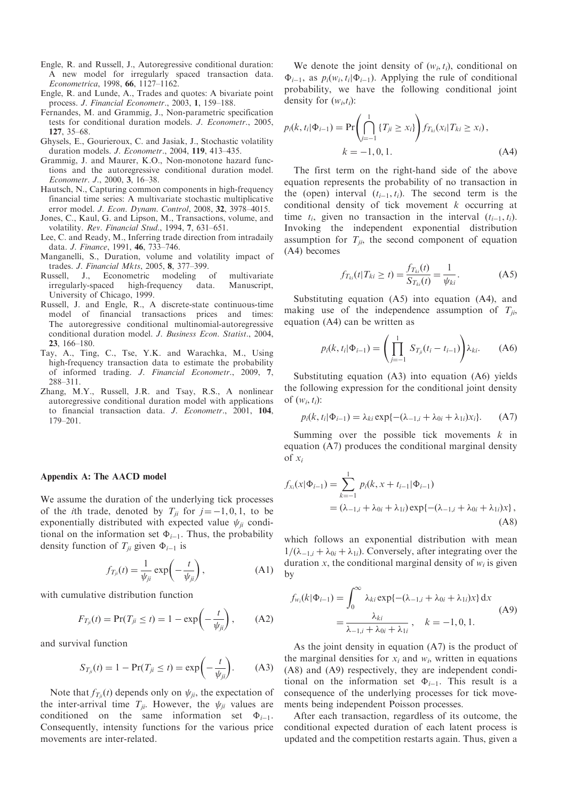- Engle, R. and Russell, J., Autoregressive conditional duration: A new model for irregularly spaced transaction data. Econometrica, 1998, 66, 1127–1162.
- Engle, R. and Lunde, A., Trades and quotes: A bivariate point process. J. Financial Econometr., 2003, 1, 159–188.
- Fernandes, M. and Grammig, J., Non-parametric specification tests for conditional duration models. J. Econometr., 2005, 127, 35–68.
- Ghysels, E., Gourieroux, C. and Jasiak, J., Stochastic volatility duration models. J. Econometr., 2004, 119, 413–435.
- Grammig, J. and Maurer, K.O., Non-monotone hazard functions and the autoregressive conditional duration model. Econometr. J., 2000, 3, 16–38.
- Hautsch, N., Capturing common components in high-frequency financial time series: A multivariate stochastic multiplicative error model. J. Econ. Dynam. Control, 2008, 32, 3978-4015.
- Jones, C., Kaul, G. and Lipson, M., Transactions, volume, and volatility. Rev. Financial Stud., 1994, 7, 631-651.
- Lee, C. and Ready, M., Inferring trade direction from intradaily data. J. Finance, 1991, 46, 733–746.
- Manganelli, S., Duration, volume and volatility impact of trades. J. Financial Mkts, 2005, 8, 377–399.
- Russell, J., Econometric modeling of multivariate<br>irregularly-spaced high-frequency data. Manuscript, irregularly-spaced high-frequency data. Manuscript, University of Chicago, 1999.
- Russell, J. and Engle, R., A discrete-state continuous-time model of financial transactions prices and times: The autoregressive conditional multinomial-autoregressive conditional duration model. J. Business Econ. Statist., 2004, 23, 166–180.
- Tay, A., Ting, C., Tse, Y.K. and Warachka, M., Using high-frequency transaction data to estimate the probability of informed trading. J. Financial Econometr., 2009, 7, 288–311.
- Zhang, M.Y., Russell, J.R. and Tsay, R.S., A nonlinear autoregressive conditional duration model with applications to financial transaction data. J. Econometr., 2001, 104, 179–201.

#### Appendix A: The AACD model

We assume the duration of the underlying tick processes of the *i*th trade, denoted by  $T_{ji}$  for  $j = -1, 0, 1$ , to be exponentially distributed with expected value  $\psi_{ji}$  conditional on the information set  $\Phi_{i-1}$ . Thus, the probability density function of  $T_{ji}$  given  $\Phi_{i-1}$  is

$$
f_{T_{ji}}(t) = \frac{1}{\psi_{ji}} \exp\left(-\frac{t}{\psi_{ji}}\right),\tag{A1}
$$

with cumulative distribution function

$$
F_{T_{ji}}(t) = \Pr(T_{ji} \le t) = 1 - \exp\left(-\frac{t}{\psi_{ji}}\right), \quad (A2)
$$

and survival function

$$
S_{T_{ji}}(t) = 1 - \Pr(T_{ji} \le t) = \exp\left(-\frac{t}{\psi_{ji}}\right).
$$
 (A3)

Note that  $f_{T_{ii}}(t)$  depends only on  $\psi_{ji}$ , the expectation of the inter-arrival time  $T_{ji}$ . However, the  $\psi_{ji}$  values are conditioned on the same information set  $\Phi_{i-1}$ . Consequently, intensity functions for the various price movements are inter-related.

We denote the joint density of  $(w_i, t_i)$ , conditional on  $\Phi_{i-1}$ , as  $p_i(w_i, t_i | \Phi_{i-1})$ . Applying the rule of conditional probability, we have the following conditional joint density for  $(w_i, t_i)$ :

$$
p_i(k, t_i | \Phi_{i-1}) = \Pr \left( \bigcap_{j=-1}^1 \{ T_{ji} \ge x_i \} \right) f_{T_{ki}}(x_i | T_{ki} \ge x_i),
$$
  

$$
k = -1, 0, 1.
$$
 (A4)

The first term on the right-hand side of the above equation represents the probability of no transaction in the (open) interval  $(t_{i-1}, t_i)$ . The second term is the conditional density of tick movement  $k$  occurring at time  $t_i$ , given no transaction in the interval  $(t_{i-1}, t_i)$ . Invoking the independent exponential distribution assumption for  $T_{ji}$ , the second component of equation (A4) becomes

$$
f_{T_{ki}}(t|T_{ki} \ge t) = \frac{f_{T_{ki}}(t)}{S_{T_{ki}}(t)} = \frac{1}{\psi_{ki}}.
$$
 (A5)

Substituting equation (A5) into equation (A4), and making use of the independence assumption of  $T_{ii}$ , equation (A4) can be written as

$$
p_i(k, t_i | \Phi_{i-1}) = \left( \prod_{j=-1}^{1} S_{T_{ji}}(t_i - t_{i-1}) \right) \lambda_{ki}.
$$
 (A6)

Substituting equation (A3) into equation (A6) yields the following expression for the conditional joint density of  $(w_i, t_i)$ :

$$
p_i(k, t_i | \Phi_{i-1}) = \lambda_{ki} \exp\{-(\lambda_{-1,i} + \lambda_{0i} + \lambda_{1i})x_i\}.
$$
 (A7)

Summing over the possible tick movements  $k$  in equation (A7) produces the conditional marginal density of  $x_i$ 

$$
f_{x_i}(x|\Phi_{i-1}) = \sum_{k=-1}^{1} p_i(k, x + t_{i-1}|\Phi_{i-1})
$$
  
=  $(\lambda_{-1,i} + \lambda_{0i} + \lambda_{1i}) \exp\{-(\lambda_{-1,i} + \lambda_{0i} + \lambda_{1i})x\},$  (A8)

which follows an exponential distribution with mean  $1/(\lambda_{-1,i} + \lambda_{0i} + \lambda_{1i})$ . Conversely, after integrating over the duration x, the conditional marginal density of  $w_i$  is given by

$$
f_{w_i}(k|\Phi_{i-1}) = \int_0^\infty \lambda_{ki} \exp\{-(\lambda_{-1,i} + \lambda_{0i} + \lambda_{1i})x\} dx
$$
  
=  $\frac{\lambda_{ki}}{\lambda_{-1,i} + \lambda_{0i} + \lambda_{1i}}$ ,  $k = -1, 0, 1$ . (A9)

As the joint density in equation (A7) is the product of the marginal densities for  $x_i$  and  $w_i$ , written in equations (A8) and (A9) respectively, they are independent conditional on the information set  $\Phi_{i-1}$ . This result is a consequence of the underlying processes for tick movements being independent Poisson processes.

After each transaction, regardless of its outcome, the conditional expected duration of each latent process is updated and the competition restarts again. Thus, given a